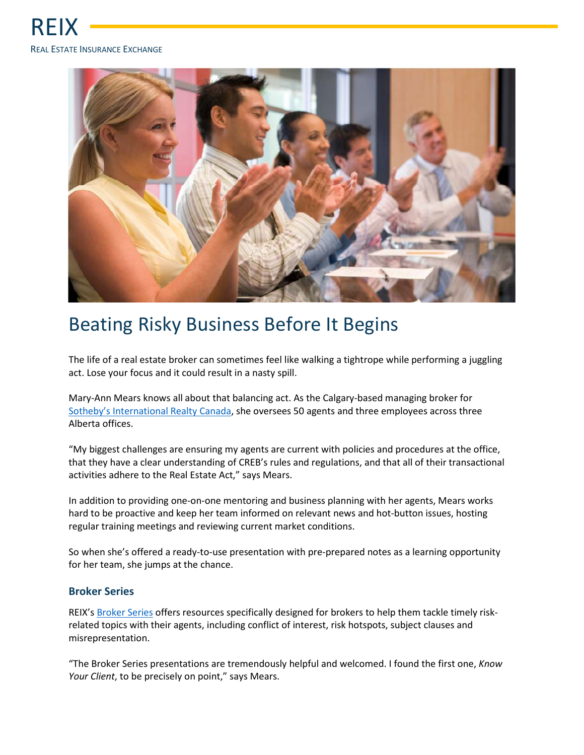

## Beating Risky Business Before It Begins

The life of a real estate broker can sometimes feel like walking a tightrope while performing a juggling act. Lose your focus and it could result in a nasty spill.

Mary-Ann Mears knows all about that balancing act. As the Calgary-based managing broker for Sotheby's International Realty Canada, she oversees 50 agents and three employees across three Alberta offices.

"My biggest challenges are ensuring my agents are current with policies and procedures at the office, that they have a clear understanding of CREB's rules and regulations, and that all of their transactional activities adhere to the Real Estate Act," says Mears.

In addition to providing one-on-one mentoring and business planning with her agents, Mears works hard to be proactive and keep her team informed on relevant news and hot-button issues, hosting regular training meetings and reviewing current market conditions.

So when she's offered a ready-to-use presentation with pre-prepared notes as a learning opportunity for her team, she jumps at the chance.

## **Broker Series**

REIX's Broker Series offers resources specifically designed for brokers to help them tackle timely riskrelated topics with their agents, including conflict of interest, risk hotspots, subject clauses and misrepresentation.

"The Broker Series presentations are tremendously helpful and welcomed. I found the first one, *Know Your Client*, to be precisely on point," says Mears.